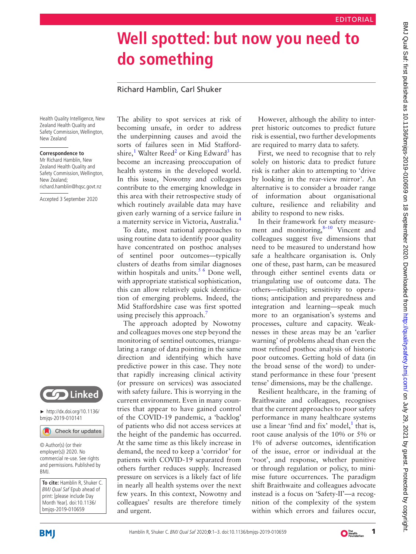## **Well spotted: but now you need to do something**

## Richard Hamblin, Carl Shuker

Health Quality Intelligence, New Zealand Health Quality and Safety Commission, Wellington, New Zealand

## **Correspondence to**

Mr Richard Hamblin, New Zealand Health Quality and Safety Commission, Wellington, New Zealand; richard.hamblin@hqsc.govt.nz

Accepted 3 September 2020



► [http://dx.doi.org/10.1136/](http://​dx.​doi.​org/​10.​1136/bmjqs-2019-010141) [bmjqs-2019-010141](http://​dx.​doi.​org/​10.​1136/bmjqs-2019-010141)

Check for updates

© Author(s) (or their employer(s)) 2020. No commercial re-use. See rights and permissions. Published by BMJ.

**To cite:** Hamblin R, Shuker C. BMJ Qual Saf Epub ahead of print: [please include Day Month Year]. doi:10.1136/ bmjqs-2019-010659

The ability to spot services at risk of becoming unsafe, in order to address the underpinning causes and avoid the sorts of failures seen in Mid Stafford-shire,<sup>1</sup> Walter Reed<sup>2</sup> or King Edward<sup>[3](#page-2-2)</sup> has become an increasing preoccupation of health systems in the developed world. In this issue, Nowotny and colleagues contribute to the emerging knowledge in this area with their retrospective study of which routinely available data may have given early warning of a service failure in a maternity service in Victoria, Australia.[4](#page-2-3)

To date, most national approaches to using routine data to identify poor quality have concentrated on posthoc analyses of sentinel poor outcomes—typically clusters of deaths from similar diagnoses within hospitals and units. $5/6$  Done well, with appropriate statistical sophistication, this can allow relatively quick identification of emerging problems. Indeed, the Mid Staffordshire case was first spotted using precisely this approach.<sup>[7](#page-2-5)</sup>

The approach adopted by Nowotny and colleagues moves one step beyond the monitoring of sentinel outcomes, triangulating a range of data pointing in the same direction and identifying which have predictive power in this case. They note that rapidly increasing clinical activity (or pressure on services) was associated with safety failure. This is worrying in the current environment. Even in many countries that appear to have gained control of the COVID-19 pandemic, a 'backlog' of patients who did not access services at the height of the pandemic has occurred. At the same time as this likely increase in demand, the need to keep a 'corridor' for patients with COVID-19 separated from others further reduces supply. Increased pressure on services is a likely fact of life in nearly all health systems over the next few years. In this context, Nowotny and colleagues' results are therefore timely and urgent.

However, although the ability to interpret historic outcomes to predict future risk is essential, two further developments are required to marry data to safety.

First, we need to recognise that to rely solely on historic data to predict future risk is rather akin to attempting to 'drive by looking in the rear-view mirror'. An alternative is to consider a broader range of information about organisational culture, resilience and reliability and ability to respond to new risks.

In their framework for safety measurement and monitoring, $8-10$  Vincent and colleagues suggest five dimensions that need to be measured to understand how safe a healthcare organisation is. Only one of these, past harm, can be measured through either sentinel events data or triangulating use of outcome data. The others—reliability; sensitivity to operations; anticipation and preparedness and integration and learning—speak much more to an organisation's systems and processes, culture and capacity. Weaknesses in these areas may be an 'earlier warning' of problems ahead than even the most refined posthoc analysis of historic poor outcomes. Getting hold of data (in the broad sense of the word) to understand performance in these four 'present tense' dimensions, may be the challenge.

Resilient healthcare, in the framing of Braithwaite and colleagues, recognises that the current approaches to poor safety performance in many healthcare systems use a linear 'find and fix' model, $<sup>1</sup>$  that is,</sup> root cause analysis of the 10% or 5% or 1% of adverse outcomes, identification of the issue, error or individual at the 'root', and response, whether punitive or through regulation or policy, to minimise future occurrences. The paradigm shift Braithwaite and colleagues advocate instead is a focus on 'Safety-II'—a recognition of the complexity of the system within which errors and failures occur,



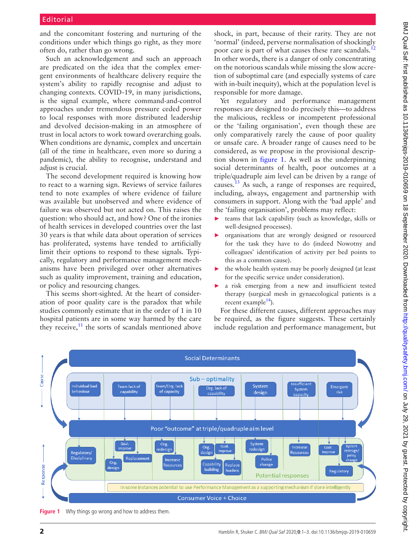and the concomitant fostering and nurturing of the conditions under which things go right, as they more often do, rather than go wrong.

Such an acknowledgement and such an approach are predicated on the idea that the complex emergent environments of healthcare delivery require the system's ability to rapidly recognise and adjust to changing contexts. COVID-19, in many jurisdictions, is the signal example, where command-and-control approaches under tremendous pressure ceded power to local responses with more distributed leadership and devolved decision-making in an atmosphere of trust in local actors to work toward overarching goals. When conditions are dynamic, complex and uncertain (all of the time in healthcare, even more so during a pandemic), the ability to recognise, understand and adjust is crucial.

The second development required is knowing how to react to a warning sign. Reviews of service failures tend to note examples of where evidence of failure was available but unobserved and where evidence of failure was observed but not acted on. This raises the question: who should act, and how? One of the ironies of health services in developed countries over the last 30 years is that while data about operation of services has proliferated, systems have tended to artificially limit their options to respond to these signals. Typically, regulatory and performance management mechanisms have been privileged over other alternatives such as quality improvement, training and education, or policy and resourcing changes.

This seems short-sighted. At the heart of consideration of poor quality care is the paradox that while studies commonly estimate that in the order of 1 in 10 hospital patients are in some way harmed by the care they receive, $11$  the sorts of scandals mentioned above shock, in part, because of their rarity. They are not 'normal' (indeed, perverse normalisation of shockingly poor care is part of what causes these rare scandals.<sup>[12](#page-2-8)</sup> In other words, there is a danger of only concentrating on the notorious scandals while missing the slow accretion of suboptimal care (and especially systems of care with in-built inequity), which at the population level is responsible for more damage.

Yet regulatory and performance management responses are designed to do precisely this—to address the malicious, reckless or incompetent professional or the 'failing organisation', even though these are only comparatively rarely the cause of poor quality or unsafe care. A broader range of causes need to be considered, as we propose in the provisional description shown in [figure](#page-1-0) 1. As well as the underpinning social determinants of health, poor outcomes at a triple/quadruple aim level can be driven by a range of causes[.13](#page-2-9) As such, a range of responses are required, including, always, engagement and partnership with consumers in support. Along with the 'bad apple' and the 'failing organisation', problems may reflect:

- ► teams that lack capability (such as knowledge, skills or well-designed processes).
- ► organisations that are wrongly designed or resourced for the task they have to do (indeed Nowotny and colleagues' identification of activity per bed points to this as a common cause).
- $\blacktriangleright$  the whole health system may be poorly designed (at least for the specific service under consideration).
- a risk emerging from a new and insufficient tested therapy (surgical mesh in gynaecological patients is a recent example $^{14}$  $^{14}$  $^{14}$ ).

For these different causes, different approaches may be required, as the figure suggests. These certainly include regulation and performance management, but



<span id="page-1-0"></span>**Figure 1** Why things go wrong and how to address them.